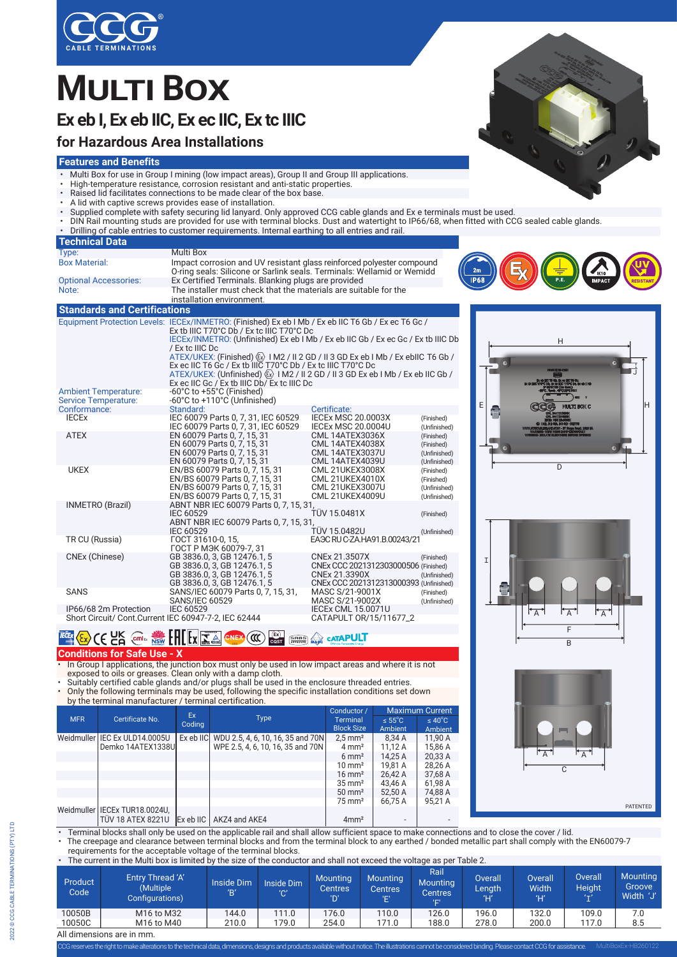

# **MULTI BOX**

# **Ex eb I, Ex eb IIC, Ex ec IIC, Ex tc IIIC**

## **for Hazardous Area Installations**

#### **Features and Benefits**

- Multi Box for use in Group I mining (low impact areas), Group II and Group III applications.
- High-temperature resistance, corrosion resistant and anti-static properties.
- Raised lid facilitates connections to be made clear of the box base.
- A lid with captive screws provides ease of installation.
- Supplied complete with safety securing lid lanyard. Only approved CCG cable glands and Ex e terminals must be used.
- DIN Rail mounting studs are provided for use with terminal blocks. Dust and watertight to IP66/68, when fitted with CCG sealed cable glands.
- Drilling of cable entries to customer requirements. Internal earthing to all entries and rail.

| <b>Technical Data</b>                                      |                                                                                                                                                                                                                                                                                                                                                                                                                                                                                                                                                                                          |                                                                                                                  |                                                          |             |                            |  |
|------------------------------------------------------------|------------------------------------------------------------------------------------------------------------------------------------------------------------------------------------------------------------------------------------------------------------------------------------------------------------------------------------------------------------------------------------------------------------------------------------------------------------------------------------------------------------------------------------------------------------------------------------------|------------------------------------------------------------------------------------------------------------------|----------------------------------------------------------|-------------|----------------------------|--|
| Type:                                                      | <b>Multi Box</b>                                                                                                                                                                                                                                                                                                                                                                                                                                                                                                                                                                         |                                                                                                                  |                                                          |             |                            |  |
| <b>Box Material:</b>                                       | Impact corrosion and UV resistant glass reinforced polyester compound<br>O-ring seals: Silicone or Sarlink seals. Terminals: Wellamid or Wemidd                                                                                                                                                                                                                                                                                                                                                                                                                                          |                                                                                                                  | 2m                                                       |             |                            |  |
| <b>Optional Accessories:</b>                               | Ex Certified Terminals. Blanking plugs are provided                                                                                                                                                                                                                                                                                                                                                                                                                                                                                                                                      |                                                                                                                  |                                                          | <b>IP68</b> | <b>PF</b><br><b>IMPACT</b> |  |
| Note:                                                      | The installer must check that the materials are suitable for the<br>installation environment.                                                                                                                                                                                                                                                                                                                                                                                                                                                                                            |                                                                                                                  |                                                          |             |                            |  |
| <b>Standards and Certifications</b>                        |                                                                                                                                                                                                                                                                                                                                                                                                                                                                                                                                                                                          |                                                                                                                  |                                                          |             |                            |  |
|                                                            | Equipment Protection Levels: IECEx/INMETRO: (Finished) Ex eb I Mb / Ex eb IIC T6 Gb / Ex ec T6 Gc /<br>Ex tb IIIC T70°C Db / Ex tc IIIC T70°C Dc<br>IECEX/INMETRO: (Unfinished) Ex eb I Mb / Ex eb IIC Gb / Ex ec Gc / Ex tb IIIC Db<br>/ Ex to IIIC Do<br>ATEX/UKEX: (Finished) $\langle x \rangle$ 1 M2 / II 2 GD / II 3 GD Ex eb 1 Mb / Ex ebIIC T6 Gb /<br>Ex ec IIC T6 Gc / Ex tb IIIC T70°C Db / Ex tc IIIC T70°C Dc<br>ATEX/UKEX: (Unfinished) $\langle \overline{x} \rangle$ I M2 / II 2 GD / II 3 GD Ex eb I Mb / Ex eb IIC Gb /<br>Ex ec IIC Gc / Ex tb IIIC Db/ Ex tc IIIC Dc |                                                                                                                  |                                                          |             | Н                          |  |
| <b>Ambient Temperature:</b><br><b>Service Temperature:</b> | -60°C to +55°C (Finished)<br>-60°C to +110°C (Unfinished)                                                                                                                                                                                                                                                                                                                                                                                                                                                                                                                                |                                                                                                                  |                                                          |             |                            |  |
| Conformance:                                               | Standard:                                                                                                                                                                                                                                                                                                                                                                                                                                                                                                                                                                                | Certificate:                                                                                                     |                                                          |             | <b>MULTI BOX C</b>         |  |
| <b>IECEX</b>                                               | IEC 60079 Parts 0.7.31. IEC 60529<br>IEC 60079 Parts 0, 7, 31, IEC 60529                                                                                                                                                                                                                                                                                                                                                                                                                                                                                                                 | <b>IECEX MSC 20.0003X</b><br><b>IECEX MSC 20.0004U</b>                                                           | (Finished)<br>(Unfinished)                               |             |                            |  |
| <b>ATEX</b>                                                | EN 60079 Parts 0, 7, 15, 31<br>EN 60079 Parts 0, 7, 15, 31<br>EN 60079 Parts 0, 7, 15, 31<br>EN 60079 Parts 0, 7, 15, 31                                                                                                                                                                                                                                                                                                                                                                                                                                                                 | <b>CML 14ATEX3036X</b><br>CML 14ATEX4038X<br><b>CML 14ATEX3037U</b><br><b>CML 14ATEX4039U</b>                    | (Finished)<br>(Finished)<br>(Unfinished)<br>(Unfinished) |             |                            |  |
| <b>UKEX</b>                                                | EN/BS 60079 Parts 0, 7, 15, 31<br>EN/BS 60079 Parts 0, 7, 15, 31<br>EN/BS 60079 Parts 0, 7, 15, 31<br>EN/BS 60079 Parts 0, 7, 15, 31                                                                                                                                                                                                                                                                                                                                                                                                                                                     | <b>CML 21UKEX3008X</b><br><b>CML 21UKEX4010X</b><br><b>CML 21UKEX3007U</b><br><b>CML 21UKEX4009U</b>             | (Finished)<br>(Finished)<br>(Unfinished)<br>(Unfinished) |             | $\overline{\mathsf{D}}$    |  |
| <b>INMETRO (Brazil)</b>                                    | ABNT NBR IEC 60079 Parts 0, 7, 15, 31,<br>IEC 60529<br>ABNT NBR IEC 60079 Parts 0, 7, 15, 31,                                                                                                                                                                                                                                                                                                                                                                                                                                                                                            | <b>TÜV 15.0481X</b>                                                                                              | (Finished)                                               |             |                            |  |
| TR CU (Russia)                                             | <b>IEC 60529</b><br>ГОСТ 31610-0, 15,<br>ГОСТ Р МЭК 60079-7, 31                                                                                                                                                                                                                                                                                                                                                                                                                                                                                                                          | TÜV 15.0482U<br>EA <sub>3</sub> C RU C-ZA HA91.B.00243/21                                                        | (Unfinished)                                             |             |                            |  |
| CNEx (Chinese)                                             | GB 3836.0, 3, GB 12476.1, 5<br>GB 3836.0, 3, GB 12476.1, 5<br>GB 3836.0, 3, GB 12476.1, 5<br>GB 3836.0, 3, GB 12476.1, 5                                                                                                                                                                                                                                                                                                                                                                                                                                                                 | CNEx 21.3507X<br>CNEx CCC 2021312303000506 (Finished)<br>CNEx 21.3390X<br>CNEx CCC 2021312313000393 (Unfinished) | (Finished)<br>(Unfinished)                               | I           |                            |  |
| <b>SANS</b>                                                | SANS/IEC 60079 Parts 0, 7, 15, 31,<br><b>SANS/IEC 60529</b>                                                                                                                                                                                                                                                                                                                                                                                                                                                                                                                              | MASC S/21-9001X<br>MASC S/21-9002X                                                                               | (Finished)<br>(Unfinished)                               | ē.          |                            |  |
| IP66/68 2m Protection                                      | <b>IEC 60529</b>                                                                                                                                                                                                                                                                                                                                                                                                                                                                                                                                                                         | <b>IECEX CML 15.0071U</b>                                                                                        |                                                          |             | $\overline{\Delta}$<br>╰△  |  |

Short Circuit/ Cont.Current IEC 60947-7-2, IEC 62444 CATAPULT OR/15/11677\_2

#### **Segurança Ex CATAPUL EX<sub>2</sub>** CEC<sub>C</sub> contains NSW LHERIZA GNEX ® TÜVRheinland **OCP 0004 C**Q**ST**

**Conditions for Safe Use - X**

• In Group I applications, the junction box must only be used in low impact areas and where it is not exposed to oils or greases. Clean only with a damp cloth.

• Suitably certified cable glands and/or plugs shall be used in the enclosure threaded entries. • Only the following terminals may be used, following the specific installation conditions set down by the terminal manufacturer / terminal certification.

|            | Certificate No.                                             | Ex.<br>Coding |                                             | Conductor /                          | <b>Maximum Current</b>         |                                |
|------------|-------------------------------------------------------------|---------------|---------------------------------------------|--------------------------------------|--------------------------------|--------------------------------|
| <b>MFR</b> |                                                             |               | <b>Type</b>                                 | <b>Terminal</b><br><b>Block Size</b> | $\leq 55^{\circ}$ C<br>Ambient | $\leq 40^{\circ}$ C<br>Ambient |
|            | Weidmuller I IEC Ex ULD14.0005U                             |               | Ex eb IIC WDU 2.5, 4, 6, 10, 16, 35 and 70N | $2.5$ mm <sup>2</sup>                | 8,34 A                         | 11.90 A                        |
|            | Demko 14ATEX1338U                                           |               | WPE 2.5, 4, 6, 10, 16, 35 and 70N           | $4 \text{ mm}^2$                     | 11,12 A                        | 15,86 A                        |
|            |                                                             |               |                                             | $6 \text{ mm}^2$                     | 14.25 A                        | 20.33 A                        |
|            |                                                             |               |                                             | $10 \text{ mm}^2$                    | 19.81 A                        | 28.26 A                        |
|            |                                                             |               |                                             | $16 \text{ mm}^2$                    | 26.42 A                        | 37,68 A                        |
|            |                                                             |               |                                             | $35 \text{ mm}^2$                    | 43.46 A                        | 61.98 A                        |
|            |                                                             |               |                                             | $50 \text{ mm}^2$                    | 52.50 A                        | 74,88 A                        |
|            |                                                             |               |                                             | $75 \text{ mm}^2$                    | 66.75 A                        | 95.21 A                        |
|            | Weidmuller   IECEx TUR18.0024U,<br><b>TÜV 18 ATEX 8221U</b> |               | Ex eb IIC   AKZ4 and AKE4                   | 4mm <sup>2</sup>                     |                                |                                |



• The creepage and clearance between terminal blocks and from the terminal block to any earthed / bonded metallic part shall comply with the EN60079-7 requirements for the acceptable voltage of the terminal blocks.

• The current in the Multi box is limited by the size of the conductor and shall not exceed the voltage as per Table 2.

| Product<br>Code | Entry Thread 'A'<br>(Multiple<br>Configurations) | <b>Inside Dim</b><br>'R' | Inside Dim<br>'С' | <b>Mounting</b><br>Centres<br>'D' | <b>Mounting</b><br><b>Centres</b> | Rail<br><b>Mounting</b><br>Centres'<br>'E' | <b>Overall</b><br>Length | <b>Overall</b><br><b>Nidth</b><br>Έľ | <b>Overall</b><br><b>Height</b><br>$($ $+$ $)$ | <b>Mounting</b><br>Groove<br>Width 'J' |
|-----------------|--------------------------------------------------|--------------------------|-------------------|-----------------------------------|-----------------------------------|--------------------------------------------|--------------------------|--------------------------------------|------------------------------------------------|----------------------------------------|
| 10050B          | M <sub>16</sub> to M <sub>32</sub>               | 144.0                    | 111.0             | 176.0                             | 110.0                             | 126.0                                      | 196.0                    | 132.0                                | 109.0                                          | 7.0                                    |
| 10050C          | M16 to M40                                       | 210.0                    | 179.0             | 254.0                             | 171.0                             | 188.0                                      | 278.0                    | 200.0                                | 117.0                                          | 8.5                                    |
| .               |                                                  |                          |                   |                                   |                                   |                                            |                          |                                      |                                                |                                        |











All dimensions are in mm.

CCG reserves the right to make alterations to the technical data, dimensions, designs and products available without notice. The illustrations cannot be considered binding. Please contact CCG for ass